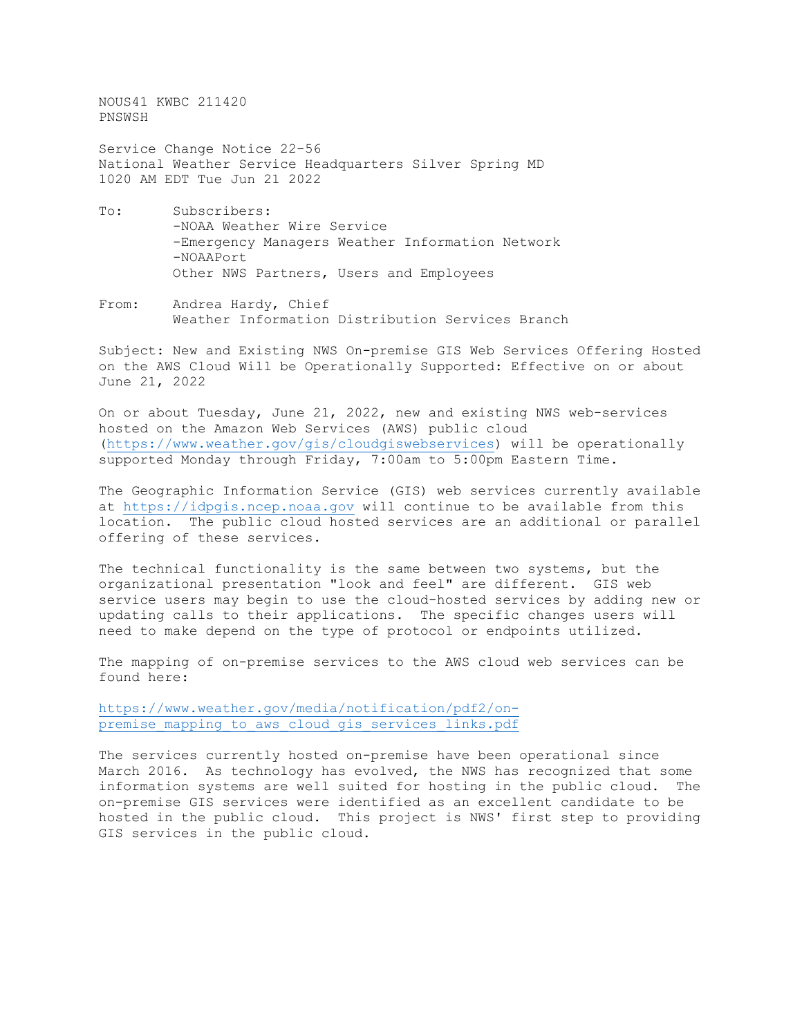NOUS41 KWBC 211420 PNSWSH

Service Change Notice 22-56 National Weather Service Headquarters Silver Spring MD 1020 AM EDT Tue Jun 21 2022

- To: Subscribers: -NOAA Weather Wire Service -Emergency Managers Weather Information Network -NOAAPort Other NWS Partners, Users and Employees
- From: Andrea Hardy, Chief Weather Information Distribution Services Branch

Subject: New and Existing NWS On-premise GIS Web Services Offering Hosted on the AWS Cloud Will be Operationally Supported: Effective on or about June 21, 2022

On or about Tuesday, June 21, 2022, new and existing NWS web-services hosted on the Amazon Web Services (AWS) public cloud [\(https://www.weather.gov/gis/cloudgiswebservices\)](https://www.weather.gov/gis/cloudgiswebservices) will be operationally supported Monday through Friday, 7:00am to 5:00pm Eastern Time.

The Geographic Information Service (GIS) web services currently available at [https://idpgis.ncep.noaa.gov](https://idpgis.ncep.noaa.gov/) will continue to be available from this location. The public cloud hosted services are an additional or parallel offering of these services.

The technical functionality is the same between two systems, but the organizational presentation "look and feel" are different. GIS web service users may begin to use the cloud-hosted services by adding new or updating calls to their applications. The specific changes users will need to make depend on the type of protocol or endpoints utilized.

The mapping of on-premise services to the AWS cloud web services can be found here:

[https://www.weather.gov/media/notification/pdf2/on](https://www.weather.gov/media/notification/pdf2/on-premise_mapping_to_aws_cloud_gis_services_links.pdf)premise mapping to aws cloud gis services links.pdf

The services currently hosted on-premise have been operational since March 2016. As technology has evolved, the NWS has recognized that some information systems are well suited for hosting in the public cloud. The on-premise GIS services were identified as an excellent candidate to be hosted in the public cloud. This project is NWS' first step to providing GIS services in the public cloud.